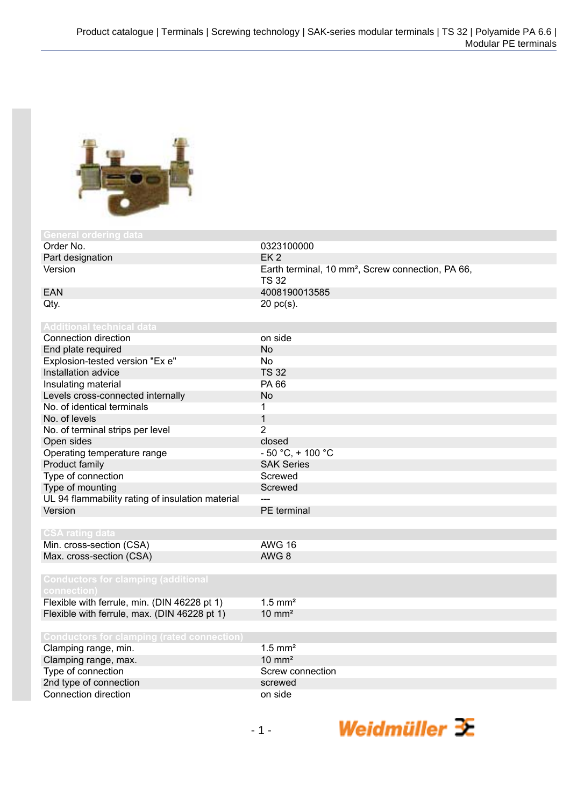

| General ordering data                             |                                                                               |
|---------------------------------------------------|-------------------------------------------------------------------------------|
| Order No.                                         | 0323100000                                                                    |
| Part designation                                  | EK <sub>2</sub>                                                               |
| Version                                           | Earth terminal, 10 mm <sup>2</sup> , Screw connection, PA 66,<br><b>TS 32</b> |
| <b>EAN</b>                                        | 4008190013585                                                                 |
| Qty.                                              | $20$ pc(s).                                                                   |
|                                                   |                                                                               |
| <b>Additional technical data</b>                  |                                                                               |
| Connection direction                              | on side                                                                       |
| End plate required                                | <b>No</b>                                                                     |
| Explosion-tested version "Ex e"                   | <b>No</b>                                                                     |
| Installation advice                               | <b>TS 32</b>                                                                  |
| Insulating material                               | PA 66                                                                         |
| Levels cross-connected internally                 | <b>No</b>                                                                     |
| No. of identical terminals                        | $\mathbf 1$                                                                   |
| No. of levels                                     | $\mathbf{1}$                                                                  |
| No. of terminal strips per level                  | $\overline{2}$                                                                |
| Open sides                                        | closed                                                                        |
| Operating temperature range                       | $-50 °C$ , + 100 °C                                                           |
| Product family                                    | <b>SAK Series</b>                                                             |
| Type of connection                                | Screwed                                                                       |
| Type of mounting                                  | Screwed                                                                       |
| UL 94 flammability rating of insulation material  | للمسا                                                                         |
| Version                                           | PE terminal                                                                   |
|                                                   |                                                                               |
| <b>CSA rating data</b>                            |                                                                               |
| Min. cross-section (CSA)                          | <b>AWG 16</b>                                                                 |
| Max. cross-section (CSA)                          | AWG <sub>8</sub>                                                              |
|                                                   |                                                                               |
| <b>Conductors for clamping (additional</b>        |                                                                               |
| connection)                                       |                                                                               |
| Flexible with ferrule, min. (DIN 46228 pt 1)      | $1.5$ mm <sup>2</sup>                                                         |
| Flexible with ferrule, max. (DIN 46228 pt 1)      | $10 \text{ mm}^2$                                                             |
|                                                   |                                                                               |
| <b>Conductors for clamping (rated connection)</b> | $1.5$ mm <sup>2</sup>                                                         |
| Clamping range, min.                              | $10 \text{ mm}^2$                                                             |
| Clamping range, max.                              | Screw connection                                                              |
| Type of connection                                | screwed                                                                       |
| 2nd type of connection<br>Connection direction    |                                                                               |
|                                                   | on side                                                                       |

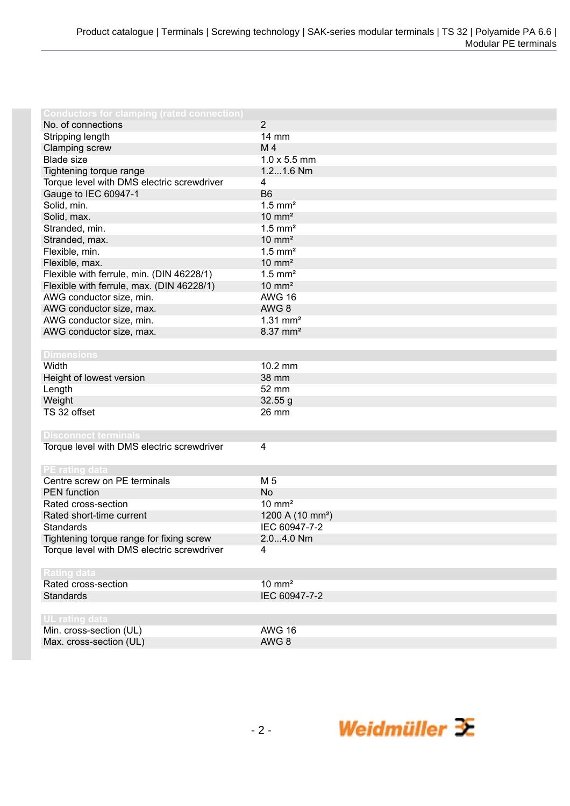| <b>Conductors for clamping (rated connection)</b> |                              |
|---------------------------------------------------|------------------------------|
| No. of connections                                | $\overline{2}$               |
| Stripping length                                  | 14 mm                        |
| Clamping screw                                    | M4                           |
| <b>Blade size</b>                                 | $1.0 \times 5.5$ mm          |
| Tightening torque range                           | 1.21.6 Nm                    |
| Torque level with DMS electric screwdriver        | 4                            |
| Gauge to IEC 60947-1                              | B <sub>6</sub>               |
| Solid, min.                                       | $1.5$ mm <sup>2</sup>        |
| Solid, max.                                       | $10 \text{ mm}^2$            |
| Stranded, min.                                    | $1.5$ mm <sup>2</sup>        |
| Stranded, max.                                    | $10 \text{ mm}^2$            |
| Flexible, min.                                    | $1.5$ mm <sup>2</sup>        |
| Flexible, max.                                    | $10 \text{ mm}^2$            |
| Flexible with ferrule, min. (DIN 46228/1)         | $1.5$ mm <sup>2</sup>        |
| Flexible with ferrule, max. (DIN 46228/1)         | $10 \text{ mm}^2$            |
| AWG conductor size, min.                          | <b>AWG 16</b>                |
| AWG conductor size, max.                          | AWG <sub>8</sub>             |
| AWG conductor size, min.                          | $1.31$ mm <sup>2</sup>       |
| AWG conductor size, max.                          | 8.37 mm <sup>2</sup>         |
|                                                   |                              |
| <b>Dimensions</b>                                 |                              |
| Width                                             | 10.2 mm                      |
| Height of lowest version                          | 38 mm                        |
| Length                                            | 52 mm                        |
| Weight                                            | 32.55g                       |
| TS 32 offset                                      | 26 mm                        |
|                                                   |                              |
| <b>Disconnect terminals</b>                       |                              |
| Torque level with DMS electric screwdriver        | $\overline{\mathbf{4}}$      |
|                                                   |                              |
| PE rating data<br>Centre screw on PE terminals    | M 5                          |
|                                                   |                              |
| <b>PEN</b> function                               | <b>No</b>                    |
| Rated cross-section                               | $10 \text{ mm}^2$            |
| Rated short-time current                          | 1200 A (10 mm <sup>2</sup> ) |
| <b>Standards</b>                                  | IEC 60947-7-2                |
| Tightening torque range for fixing screw          | $2.04.0$ Nm                  |
| Torque level with DMS electric screwdriver        | 4                            |
| <b>Rating data</b>                                |                              |
| Rated cross-section                               | $10 \text{ mm}^2$            |
| <b>Standards</b>                                  | IEC 60947-7-2                |
|                                                   |                              |
| <b>UL rating data</b>                             |                              |
| Min. cross-section (UL)                           | <b>AWG 16</b>                |
| Max. cross-section (UL)                           | AWG 8                        |